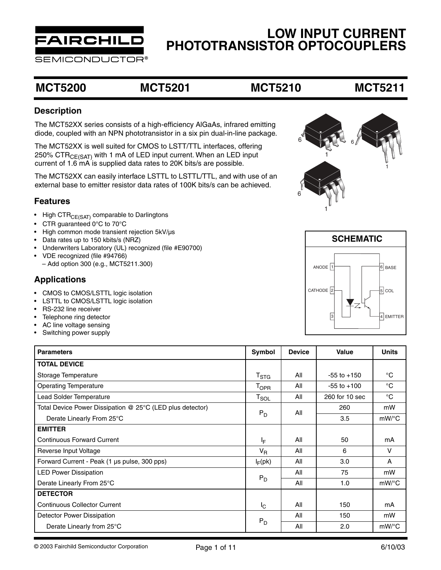

SEMICONDUCTOR®

### **MCT5200 MCT5201 MCT5210 MCT5211**

### **Description**

The MCT52XX series consists of a high-efficiency AlGaAs, infrared emitting diode, coupled with an NPN phototransistor in a six pin dual-in-line package.

The MCT52XX is well suited for CMOS to LSTT/TTL interfaces, offering 250% CTR $_{CFSAT}$  with 1 mA of LED input current. When an LED input current of 1.6 mA is supplied data rates to 20K bits/s are possible.

The MCT52XX can easily interface LSTTL to LSTTL/TTL, and with use of an external base to emitter resistor data rates of 100K bits/s can be achieved.

### **Features**

- High  $\text{CTR}_{\text{CE(SAT)}}$  comparable to Darlingtons
- CTR guaranteed 0°C to 70°C
- High common mode transient rejection 5kV/µs
- Data rates up to 150 kbits/s (NRZ)
- Underwriters Laboratory (UL) recognized (file #E90700)
- VDE recognized (file #94766)
	- Add option 300 (e.g., MCT5211.300)

### **Applications**

- CMOS to CMOS/LSTTL logic isolation
- LSTTL to CMOS/LSTTL logic isolation
- RS-232 line receiver
- Telephone ring detector
- AC line voltage sensing
- Switching power supply

| <b>Parameters</b>                                         | Symbol           | <b>Device</b> | <b>Value</b>    | <b>Units</b> |
|-----------------------------------------------------------|------------------|---------------|-----------------|--------------|
| <b>TOTAL DEVICE</b>                                       |                  |               |                 |              |
| Storage Temperature                                       | $T_{\rm STG}$    | All           | $-55$ to $+150$ | °C           |
| <b>Operating Temperature</b>                              | T <sub>OPR</sub> | All           | $-55$ to $+100$ | $^{\circ}$ C |
| Lead Solder Temperature                                   | $T_{SOL}$        | All           | 260 for 10 sec  | $^{\circ}$ C |
| Total Device Power Dissipation @ 25°C (LED plus detector) |                  | All           | 260             | mW           |
| Derate Linearly From 25°C                                 | $P_D$            |               | 3.5             | mW/°C        |
| <b>EMITTER</b>                                            |                  |               |                 |              |
| <b>Continuous Forward Current</b>                         | IF.              | All           | 50              | mA           |
| Reverse Input Voltage                                     | $V_R$            | All           | 6               | $\vee$       |
| Forward Current - Peak (1 µs pulse, 300 pps)              | $I_F$ (pk)       | All           | 3.0             | $\mathsf{A}$ |
| <b>LED Power Dissipation</b>                              |                  | All           | 75              | mW           |
| Derate Linearly From 25°C                                 | $P_D$            | All           | 1.0             | $mW$ /°C     |
| <b>DETECTOR</b>                                           |                  |               |                 |              |
| <b>Continuous Collector Current</b>                       | $L_{\rm C}$      | All           | 150             | mA           |
| Detector Power Dissipation                                |                  | All           | 150             | mW           |
| Derate Linearly from 25°C                                 | $P_D$            | All           | 2.0             | $mW$ /°C     |

6 1 6 1 6 1

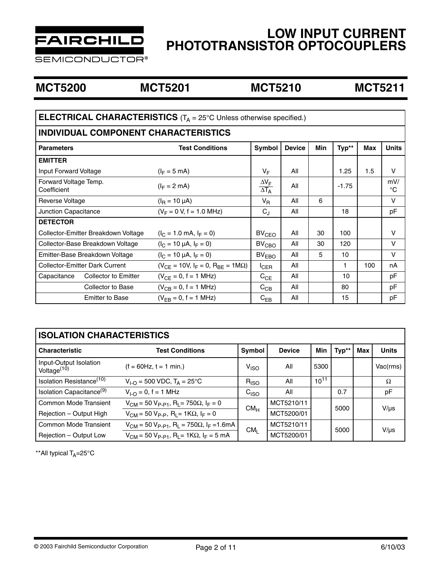

**SEMICONDUCTOR®** 

### **MCT5200 MCT5201 MCT5210 MCT5211**

| <b>ELECTRICAL CHARACTERISTICS</b> ( $T_A = 25^\circ$ C Unless otherwise specified.)                                  |                                   |                                         |     |    |         |     |                    |
|----------------------------------------------------------------------------------------------------------------------|-----------------------------------|-----------------------------------------|-----|----|---------|-----|--------------------|
| <b>INDIVIDUAL COMPONENT CHARACTERISTICS</b>                                                                          |                                   |                                         |     |    |         |     |                    |
| Typ**<br><b>Units</b><br>Symbol<br><b>Device</b><br><b>Min</b><br><b>Test Conditions</b><br>Max<br><b>Parameters</b> |                                   |                                         |     |    |         |     |                    |
| <b>EMITTER</b>                                                                                                       |                                   |                                         |     |    |         |     |                    |
| Input Forward Voltage                                                                                                | $(I_F = 5 \text{ mA})$            | $V_F$                                   | All |    | 1.25    | 1.5 | V                  |
| Forward Voltage Temp.<br>Coefficient                                                                                 | $(I_F = 2$ mA)                    | $\Delta V_F$<br>$\overline{\Delta T_A}$ | All |    | $-1.75$ |     | mV/<br>$^{\circ}C$ |
| Reverse Voltage                                                                                                      | $(IR = 10 \mu A)$                 | $V_{R}$                                 | All | 6  |         |     | V                  |
| Junction Capacitance                                                                                                 | $(V_F = 0 V, f = 1.0 MHz)$        | $C_J$                                   | All |    | 18      |     | pF                 |
| <b>DETECTOR</b>                                                                                                      |                                   |                                         |     |    |         |     |                    |
| Collector-Emitter Breakdown Voltage                                                                                  | $(l_C = 1.0 \text{ mA}, l_F = 0)$ | BV <sub>CEO</sub>                       | All | 30 | 100     |     | $\vee$             |
| Collector-Base Breakdown Voltage                                                                                     | $(l_C = 10 \mu A, l_F = 0)$       | BV <sub>CBO</sub>                       | All | 30 | 120     |     | V                  |
| Emitter-Base Breakdown Voltage<br>$(l_C = 10 \mu A, l_F = 0)$                                                        |                                   | BV <sub>EBO</sub>                       | All | 5  | 10      |     | V                  |
| <b>Collector-Emitter Dark Current</b><br>$(V_{CE} = 10V, I_F = 0, R_{BE} = 1M\Omega)$                                |                                   | $I_{CER}$                               | All |    | 1.      | 100 | nA                 |
| $(V_{CE} = 0, f = 1 MHz)$<br>Capacitance<br><b>Collector to Emitter</b>                                              |                                   | $C_{CE}$                                | All |    | 10      |     | pF                 |
| $(V_{CB} = 0, f = 1 MHz)$<br>Collector to Base                                                                       |                                   | $C_{CB}$                                | All |    | 80      |     | pF                 |
| $(V_{FB} = 0, f = 1 MHz)$<br><b>Emitter to Base</b><br>All<br>15<br>$C_{EB}$                                         |                                   |                                         |     |    | pF      |     |                    |

### **ISOLATION CHARACTERISTICS**

| <b>Characteristic</b><br><b>Test Conditions</b>   |                                                                                   | <b>Symbol</b>      | <b>Device</b> | <b>Min</b> | Typ** | <b>Max</b> | <b>Units</b> |
|---------------------------------------------------|-----------------------------------------------------------------------------------|--------------------|---------------|------------|-------|------------|--------------|
| Input-Output Isolation<br>Voltage <sup>(10)</sup> | $(f = 60Hz, t = 1 min.)$                                                          | $V_{\mathsf{ISO}}$ | All           | 5300       |       |            | Vac(rms)     |
| Isolation Resistance <sup>(10)</sup>              | $V_{1-O}$ = 500 VDC, $T_A$ = 25°C                                                 | $R_{ISO}$          | All           | $10^{11}$  |       |            | Ω            |
| Isolation Capacitance <sup>(9)</sup>              | $V_{1-O} = 0$ , f = 1 MHz                                                         | C <sub>ISO</sub>   | All           |            | 0.7   |            | pF           |
| Common Mode Transient                             | $V_{CM}$ = 50 $V_{P-P1}$ , R <sub>I</sub> = 750 $\Omega$ , I <sub>F</sub> = 0     | CM <sub>H</sub>    | MCT5210/11    |            | 5000  |            | $V/\mu s$    |
| Rejection - Output High                           | $V_{CM}$ = 50 $V_{P-P}$ , R <sub>1</sub> = 1K $\Omega$ , I <sub>F</sub> = 0       |                    | MCT5200/01    |            |       |            |              |
| Common Mode Transient                             | $V_{CM}$ = 50 $V_{P-P1}$ , R <sub>1</sub> = 750 $\Omega$ , I <sub>F</sub> = 1.6mA | CM <sub>1</sub>    | MCT5210/11    |            | 5000  |            | $V/\mu s$    |
| Rejection - Output Low                            | $V_{CM}$ = 50 $V_{P-P1}$ , R <sub>1</sub> = 1K $\Omega$ , I <sub>F</sub> = 5 mA   |                    | MCT5200/01    |            |       |            |              |

\*\*All typical  $T_A = 25^\circ C$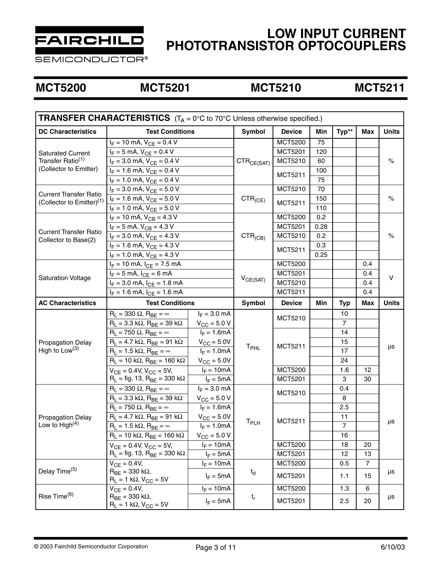

**SEMICONDUCTOR®** 

### **MCT5200 MCT5201 MCT5210 MCT5211**

| <b>TRANSFER CHARACTERISTICS</b> $(T_A = 0^\circ \text{C}$ to 70°C Unless otherwise specified.) |                                                                  |                         |                 |                    |      |                |                |              |
|------------------------------------------------------------------------------------------------|------------------------------------------------------------------|-------------------------|-----------------|--------------------|------|----------------|----------------|--------------|
| <b>DC Characteristics</b>                                                                      | <b>Test Conditions</b>                                           |                         | Symbol          | <b>Device</b>      | Min  | Typ**          | <b>Max</b>     | <b>Units</b> |
|                                                                                                | $I_F = 10$ mA, $V_{CE} = 0.4$ V                                  |                         |                 | <b>MCT5200</b>     | 75   |                |                |              |
| <b>Saturated Current</b>                                                                       | $I_F = 5$ mA, $V_{CE} = 0.4$ V                                   |                         |                 | <b>MCT5201</b>     | 120  |                |                | $\%$         |
| Transfer Ratio <sup>(1)</sup>                                                                  | $I_F = 3.0$ mA, $V_{CE} = 0.4$ V                                 |                         | $CTR_{CE(SAT)}$ | MCT5210            | 60   |                |                |              |
| (Collector to Emitter)                                                                         | $I_F = 1.6$ mA, $V_{CE} = 0.4$ V                                 |                         |                 |                    | 100  |                |                |              |
|                                                                                                | $I_F = 1.0$ mA, $V_{CE} = 0.4$ V                                 |                         |                 | MCT5211            | 75   |                |                |              |
|                                                                                                | $I_F = 3.0$ mA, $V_{CE} = 5.0$ V                                 |                         |                 | MCT5210            | 70   |                |                |              |
| <b>Current Transfer Ratio</b><br>(Collector to Emitter) <sup>(1)</sup>                         | $I_F = 1.6$ mA, $V_{CE} = 5.0$ V                                 |                         | $CTR_{(CE)}$    |                    | 150  |                |                | $\%$         |
|                                                                                                | $I_F = 1.0$ mA, $V_{CE} = 5.0$ V                                 |                         |                 | MCT5211            | 110  |                |                |              |
|                                                                                                | $I_F = 10$ mA, $V_{CB} = 4.3$ V                                  |                         |                 | <b>MCT5200</b>     | 0.2  |                |                |              |
|                                                                                                | $I_F = 5$ mA, $V_{CB} = 4.3$ V                                   |                         |                 | <b>MCT5201</b>     | 0.28 |                |                |              |
| <b>Current Transfer Ratio</b>                                                                  | $I_F = 3.0$ mA, $V_{CE} = 4.3$ V                                 |                         | $CTR_{(CB)}$    | MCT5210            | 0.2  |                |                | $\%$         |
| Collector to Base(2)                                                                           | $I_F = 1.6$ mA, $V_{CE} = 4.3$ V                                 |                         |                 |                    | 0.3  |                |                |              |
|                                                                                                | $I_F = 1.0$ mA, $V_{CE} = 4.3$ V                                 |                         |                 | MCT5211            | 0.25 |                |                |              |
|                                                                                                | $I_F = 10$ mA, $I_{CE} = 7.5$ mA                                 |                         |                 | <b>MCT5200</b>     |      |                | 0.4            | v            |
|                                                                                                | $I_F = 5$ mA, $I_{CE} = 6$ mA                                    |                         |                 | <b>MCT5201</b>     |      |                | 0.4            |              |
| <b>Saturation Voltage</b>                                                                      | $\overline{I_F}$ = 3.0 mA, $I_{CE}$ = 1.8 mA                     |                         | $V_{CE(SAT)}$   | MCT5210            |      |                | 0.4            |              |
|                                                                                                | $I_F = 1.6$ mA, $I_{CF} = 1.6$ mA                                |                         |                 | MCT5211            |      |                | 0.4            |              |
| <b>AC Characteristics</b>                                                                      | <b>Test Conditions</b>                                           |                         | <b>Symbol</b>   | <b>Device</b>      | Min  | <b>Typ</b>     | <b>Max</b>     | <b>Units</b> |
|                                                                                                | $R_L$ = 330 $\Omega$ , $R_{BE}$ = $\infty$                       | $I_F = 3.0$ mA          |                 | MCT5210<br>MCT5211 |      | 10             |                | μs           |
|                                                                                                | $R_L$ = 3.3 k $\Omega$ , $R_{BE}$ = 39 k $\Omega$                | $V_{\rm CC} = 5.0 V$    |                 |                    |      | 7              |                |              |
|                                                                                                | $R_L$ = 750 $\Omega$ , $R_{BE}$ = $\infty$                       | $I_F = 1.6mA$           |                 |                    |      | 14             |                |              |
| <b>Propagation Delay</b>                                                                       | $R_L$ = 4.7 k $\Omega$ , $R_{BE}$ = 91 k $\Omega$                | $V_{\text{CC}} = 5.0V$  |                 |                    |      | 15             |                |              |
| High to $Low(3)$                                                                               | $R_L$ = 1.5 k $\Omega$ , $R_{BE}$ = $\infty$                     | $I_F = 1.0mA$           | $T_{\sf PHL}$   |                    |      | 17             |                |              |
|                                                                                                | $\overline{R_1} = 10$ kΩ, $R_{BE} = 160$ kΩ                      | $V_{\text{CC}} = 5.0V$  |                 |                    |      | 24             |                |              |
|                                                                                                | $V_{CE} = 0.4V$ , $V_{CC} = 5V$ ,                                | $I_F = 10mA$            |                 | MCT5200            |      | 1.6            | 12             |              |
|                                                                                                | $R_L$ = fig. 13, $R_{BE}$ = 330 k $\Omega$                       | $I_F = 5mA$             |                 | <b>MCT5201</b>     |      | 3              | 30             |              |
|                                                                                                | $R_L$ = 330 $\Omega$ , $R_{BE}$ = $\infty$                       | $I_F = 3.0$ mA          |                 | MCT5210            |      | 0.4            |                | μs           |
|                                                                                                | $R_L$ = 3.3 k $\Omega$ , $R_{BE}$ = 39 k $\Omega$                | $V_{\rm CC}$ = 5.0 V    |                 |                    |      | 8              |                |              |
|                                                                                                | $\overline{R_1}$ = 750 $\Omega$ , $R_{BE}$ = $\infty$            | $I_F = 1.6mA$           |                 |                    |      | 2.5            |                |              |
| <b>Propagation Delay</b>                                                                       | $R_L = 4.7 \text{ k}\Omega$ , $R_{BE} = 91 \text{ k}\Omega$      | $V_{\text{CC}} = 5.0V$  |                 | MCT5211            |      | 11             |                |              |
| Low to High $(4)$                                                                              | $R_L$ = 1.5 kΩ, $R_{BE}$ = $\infty$                              | $I_F = 1.0mA$           | $T_{\sf PLH}$   |                    |      | $\overline{7}$ |                |              |
|                                                                                                | $R_L = 10 \text{ k}\Omega$ , $R_{BE} = 160 \text{ k}\Omega$      | $V_{\text{CC}} = 5.0 V$ |                 |                    |      | 16             |                |              |
|                                                                                                | $V_{CE} = 0.4V$ , $V_{CC} = 5V$ ,                                | $I_F = 10mA$            |                 | <b>MCT5200</b>     |      | 18             | 20             |              |
|                                                                                                | $R_1$ = fig. 13, $R_{BF}$ = 330 k $\Omega$                       | $I_F = 5mA$             |                 | MCT5201            |      | 12             | 13             |              |
| Delay Time <sup>(5)</sup>                                                                      | $V_{CE} = 0.4V,$                                                 | $I_F = 10mA$            |                 | <b>MCT5200</b>     |      | 0.5            | $\overline{7}$ | μs           |
|                                                                                                | $R_{BE}$ = 330 k $\Omega$ ,<br>$R_L = 1 k\Omega$ , $V_{CC} = 5V$ | $I_F = 5mA$             | $t_d$           | <b>MCT5201</b>     |      | 1.1            | 15             |              |
|                                                                                                | $V_{CE} = 0.4V,$                                                 | $I_F = 10mA$            |                 | <b>MCT5200</b>     |      | 1.3            | 6              |              |
| Rise Time <sup>(6)</sup>                                                                       | $R_{BE}$ = 330 k $\Omega$ ,<br>$R_L = 1 k\Omega$ , $V_{CC} = 5V$ | $I_F = 5mA$             | $t_{r}$         | MCT5201            |      | 2.5            | 20             | μs           |
|                                                                                                |                                                                  |                         |                 |                    |      |                |                |              |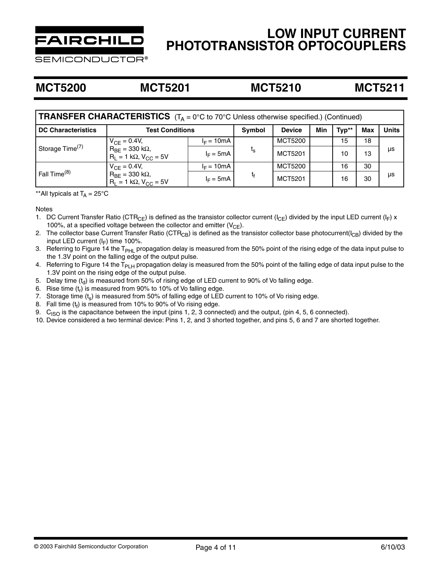

**;EMICONDUCTOR®** 

### **MCT5200 MCT5201 MCT5210 MCT5211**

| <b>TRANSFER CHARACTERISTICS</b> $(T_A = 0^\circ C \text{ to } 70^\circ C$ Unless otherwise specified.) (Continued) |                                                         |                        |         |               |     |       |            |              |
|--------------------------------------------------------------------------------------------------------------------|---------------------------------------------------------|------------------------|---------|---------------|-----|-------|------------|--------------|
| <b>DC Characteristics</b>                                                                                          | <b>Test Conditions</b>                                  |                        | Symbol  | <b>Device</b> | Min | Typ** | <b>Max</b> | <b>Units</b> |
| Storage Time <sup>(7)</sup>                                                                                        | $V_{CF} = 0.4V$ ,                                       | $I_F = 10mA$           |         | MCT5200       |     | 15    | 18         |              |
|                                                                                                                    | $R_{BE} = 330$ kΩ,<br>$R_1 = 1 k\Omega$ , $V_{CC} = 5V$ | $t_{s}$<br>$I_F = 5mA$ | MCT5201 |               | 10  | 13    | μs         |              |
| Fall Time <sup>(8)</sup>                                                                                           | $V_{CF} = 0.4V$ ,                                       | $I_F = 10mA$           |         | MCT5200       |     | 16    | 30         |              |
|                                                                                                                    | $R_{BE} = 330$ kΩ,<br>$R_1 = 1 k\Omega$ , $V_{CC} = 5V$ | $I_F = 5mA$            | t,      | MCT5201       |     | 16    | 30         | μs           |

\*\*All typicals at  $T_A = 25^{\circ}C$ 

**Notes** 

- 1. DC Current Transfer Ratio (CTR<sub>CE</sub>) is defined as the transistor collector current (I<sub>CE</sub>) divided by the input LED current (I<sub>F</sub>) x 100%, at a specified voltage between the collector and emitter  $(V_{CE})$ .
- 2. The collector base Current Transfer Ratio (CTR<sub>CB</sub>) is defined as the transistor collector base photocurrent( $l_{CB}$ ) divided by the input LED current  $(I_F)$  time 100%.
- 3. Referring to Figure 14 the T<sub>PHL</sub> propagation delay is measured from the 50% point of the rising edge of the data input pulse to the 1.3V point on the falling edge of the output pulse.
- 4. Referring to Figure 14 the T<sub>PLH</sub> propagation delay is measured from the 50% point of the falling edge of data input pulse to the 1.3V point on the rising edge of the output pulse.
- 5. Delay time  $(t<sub>d</sub>)$  is measured from 50% of rising edge of LED current to 90% of Vo falling edge.<br>6. Rise time  $(t<sub>r</sub>)$  is measured from 90% to 10% of Vo falling edge.
- 6. Rise time  $(t_r)$  is measured from 90% to 10% of Vo falling edge.<br>7. Storage time  $(t_c)$  is measured from 50% of falling edge of LED
- Storage time  $(t_s)$  is measured from 50% of falling edge of LED current to 10% of Vo rising edge.
- 8. Fall time  $(t_f)$  is measured from 10% to 90% of Vo rising edge.
- 9.  $C<sub>ISO</sub>$  is the capacitance between the input (pins 1, 2, 3 connected) and the output, (pin 4, 5, 6 connected).
- 10. Device considered a two terminal device: Pins 1, 2, and 3 shorted together, and pins 5, 6 and 7 are shorted together.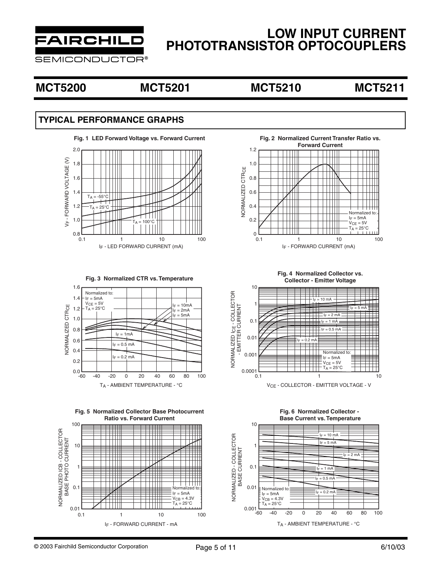

SEMICONDUCTOR®

### **MCT5200 MCT5201 MCT5210 MCT5211**

### **TYPICAL PERFORMANCE GRAPHS**







**Fig. 5 Normalized Collector Base Photocurrent Ratio vs. Forward Current**





**Fig. 3 Normalized CTR vs. Temperature Fig. 4 Normalized Collector vs. Collector - Emitter Voltage**



**Fig. 6 Normalized Collector - Base Current vs. Temperature**

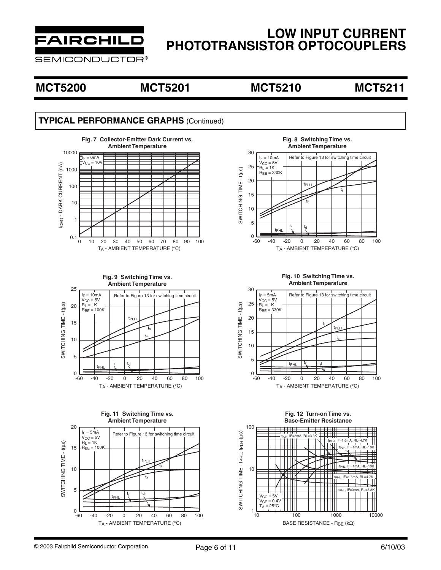

**SEMICONDUCTOR®** 

### **MCT5200 MCT5201 MCT5210 MCT5211**

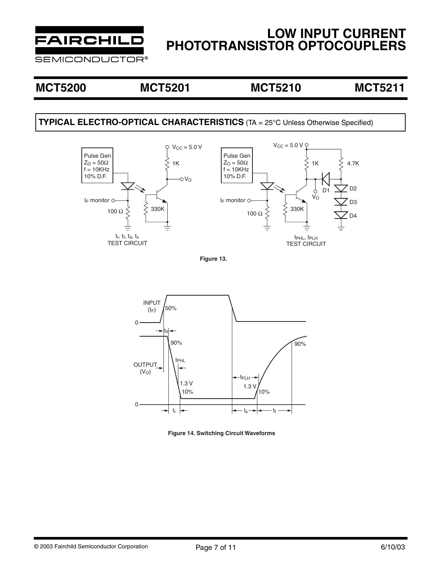

**SEMICONDUCTOR®** 

### **MCT5200 MCT5201 MCT5210 MCT5211**

### **TYPICAL ELECTRO-OPTICAL CHARACTERISTICS** (TA = 25°C Unless Otherwise Specified)



**Figure 13.**



**Figure 14. Switching Circuit Waveforms**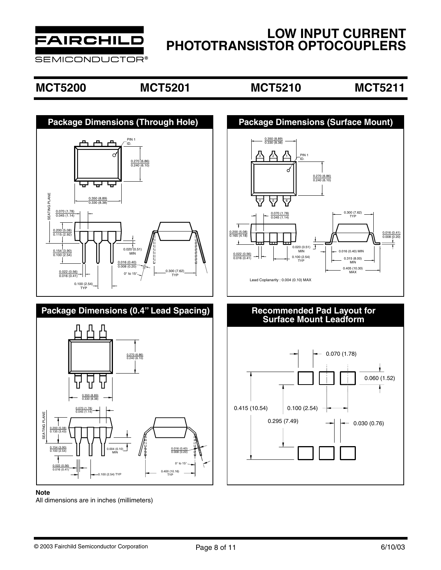

**SEMICONDUCTOR®** 

### **MCT5200 MCT5201 MCT5210 MCT5211**



# **Package Dimensions (0.4" Lead Spacing)**



### **Note**

All dimensions are in inches (millimeters)



# **Recommended Pad Layout for<br>Surface Mount Leadform**

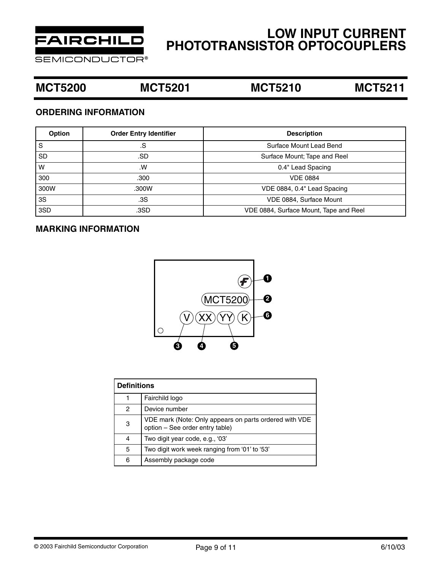

**SEMICONDUCTOR®** 

### **MCT5200 MCT5201 MCT5210 MCT5211**

### **ORDERING INFORMATION**

| Option    | <b>Order Entry Identifier</b> | <b>Description</b>                     |
|-----------|-------------------------------|----------------------------------------|
| S         | .S                            | Surface Mount Lead Bend                |
| <b>SD</b> | .SD                           | Surface Mount; Tape and Reel           |
| W         | .W                            | 0.4" Lead Spacing                      |
| 300       | .300                          | <b>VDE 0884</b>                        |
| 300W      | .300W                         | VDE 0884, 0.4" Lead Spacing            |
| 3S        | .3S                           | VDE 0884, Surface Mount                |
| 3SD       | .3SD                          | VDE 0884, Surface Mount, Tape and Reel |

### **MARKING INFORMATION**



| <b>Definitions</b> |                                                                                           |  |  |  |  |
|--------------------|-------------------------------------------------------------------------------------------|--|--|--|--|
|                    | Fairchild logo                                                                            |  |  |  |  |
| 2                  | Device number                                                                             |  |  |  |  |
| 3                  | VDE mark (Note: Only appears on parts ordered with VDE<br>option - See order entry table) |  |  |  |  |
| 4                  | Two digit year code, e.g., '03'                                                           |  |  |  |  |
| 5                  | Two digit work week ranging from '01' to '53'                                             |  |  |  |  |
| 6                  | Assembly package code                                                                     |  |  |  |  |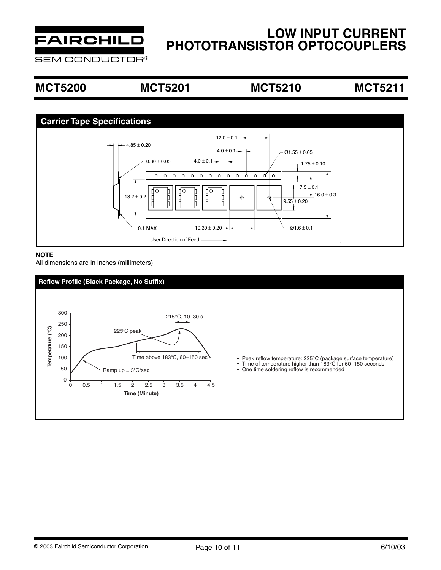

**SEMICONDUCTOR®** 

# **MCT5200 MCT5201 MCT5210 MCT5211**



### **NOTE**

All dimensions are in inches (millimeters)